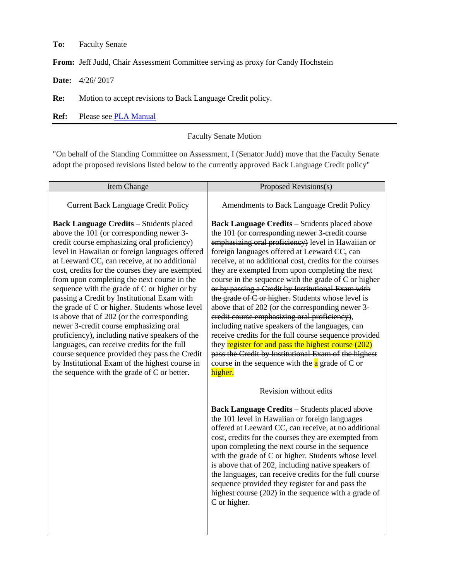**To:** Faculty Senate

**From:** Jeff Judd, Chair Assessment Committee serving as proxy for Candy Hochstein

**Date:** 4/26/ 2017

**Re:** Motion to accept revisions to Back Language Credit policy.

**Ref:** Please see [PLA Manual](https://laulima.hawaii.edu/access/content/group/d503fa2c-aee6-43a2-bf5e-7e3261c31ffa/leewardcc_assessment/pla/Prior%20Learning%20Assessment_PLA%20Manual__formerly%20CCEP__Final_Published%20and%20Distributed_May%202015_revisions_Jan%202017.pdf)

## Faculty Senate Motion

"On behalf of the Standing Committee on Assessment, I (Senator Judd) move that the Faculty Senate adopt the proposed revisions listed below to the currently approved Back Language Credit policy"

| <b>Item Change</b>                                                                                                                                                                                                                                                                                                                                                                                                                                                                                                                                                                                                                                                                                                                                                                                                                        | Proposed Revisions(s)                                                                                                                                                                                                                                                                                                                                                                                                                                                                                                                                                                                                                                                                                                                                                                                                                                                                        |
|-------------------------------------------------------------------------------------------------------------------------------------------------------------------------------------------------------------------------------------------------------------------------------------------------------------------------------------------------------------------------------------------------------------------------------------------------------------------------------------------------------------------------------------------------------------------------------------------------------------------------------------------------------------------------------------------------------------------------------------------------------------------------------------------------------------------------------------------|----------------------------------------------------------------------------------------------------------------------------------------------------------------------------------------------------------------------------------------------------------------------------------------------------------------------------------------------------------------------------------------------------------------------------------------------------------------------------------------------------------------------------------------------------------------------------------------------------------------------------------------------------------------------------------------------------------------------------------------------------------------------------------------------------------------------------------------------------------------------------------------------|
| <b>Current Back Language Credit Policy</b>                                                                                                                                                                                                                                                                                                                                                                                                                                                                                                                                                                                                                                                                                                                                                                                                | Amendments to Back Language Credit Policy                                                                                                                                                                                                                                                                                                                                                                                                                                                                                                                                                                                                                                                                                                                                                                                                                                                    |
| <b>Back Language Credits - Students placed</b><br>above the 101 (or corresponding newer 3-<br>credit course emphasizing oral proficiency)<br>level in Hawaiian or foreign languages offered<br>at Leeward CC, can receive, at no additional<br>cost, credits for the courses they are exempted<br>from upon completing the next course in the<br>sequence with the grade of C or higher or by<br>passing a Credit by Institutional Exam with<br>the grade of C or higher. Students whose level<br>is above that of 202 (or the corresponding<br>newer 3-credit course emphasizing oral<br>proficiency), including native speakers of the<br>languages, can receive credits for the full<br>course sequence provided they pass the Credit<br>by Institutional Exam of the highest course in<br>the sequence with the grade of C or better. | <b>Back Language Credits - Students placed above</b><br>the 101 (or corresponding newer 3-credit course<br>emphasizing oral proficiency) level in Hawaiian or<br>foreign languages offered at Leeward CC, can<br>receive, at no additional cost, credits for the courses<br>they are exempted from upon completing the next<br>course in the sequence with the grade of C or higher<br>or by passing a Credit by Institutional Exam with<br>the grade of C or higher. Students whose level is<br>above that of 202 (or the corresponding newer 3-<br>credit course emphasizing oral proficiency),<br>including native speakers of the languages, can<br>receive credits for the full course sequence provided<br>they register for and pass the highest course (202)<br>pass the Credit by Institutional Exam of the highest<br>course in the sequence with the $a$ grade of C or<br>higher. |
|                                                                                                                                                                                                                                                                                                                                                                                                                                                                                                                                                                                                                                                                                                                                                                                                                                           | Revision without edits<br><b>Back Language Credits - Students placed above</b><br>the 101 level in Hawaiian or foreign languages<br>offered at Leeward CC, can receive, at no additional<br>cost, credits for the courses they are exempted from<br>upon completing the next course in the sequence<br>with the grade of C or higher. Students whose level<br>is above that of 202, including native speakers of<br>the languages, can receive credits for the full course<br>sequence provided they register for and pass the<br>highest course (202) in the sequence with a grade of<br>C or higher.                                                                                                                                                                                                                                                                                       |